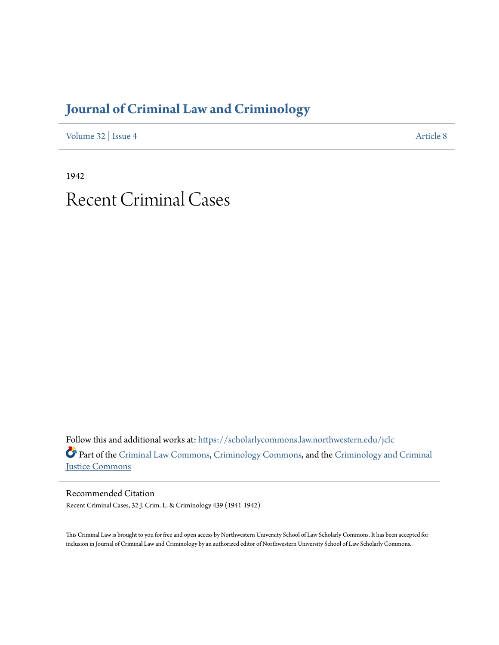## **[Journal of Criminal Law and Criminology](https://scholarlycommons.law.northwestern.edu/jclc?utm_source=scholarlycommons.law.northwestern.edu%2Fjclc%2Fvol32%2Fiss4%2F8&utm_medium=PDF&utm_campaign=PDFCoverPages)**

[Volume 32](https://scholarlycommons.law.northwestern.edu/jclc/vol32?utm_source=scholarlycommons.law.northwestern.edu%2Fjclc%2Fvol32%2Fiss4%2F8&utm_medium=PDF&utm_campaign=PDFCoverPages) | [Issue 4](https://scholarlycommons.law.northwestern.edu/jclc/vol32/iss4?utm_source=scholarlycommons.law.northwestern.edu%2Fjclc%2Fvol32%2Fiss4%2F8&utm_medium=PDF&utm_campaign=PDFCoverPages) [Article 8](https://scholarlycommons.law.northwestern.edu/jclc/vol32/iss4/8?utm_source=scholarlycommons.law.northwestern.edu%2Fjclc%2Fvol32%2Fiss4%2F8&utm_medium=PDF&utm_campaign=PDFCoverPages)

1942

# Recent Criminal Cases

Follow this and additional works at: [https://scholarlycommons.law.northwestern.edu/jclc](https://scholarlycommons.law.northwestern.edu/jclc?utm_source=scholarlycommons.law.northwestern.edu%2Fjclc%2Fvol32%2Fiss4%2F8&utm_medium=PDF&utm_campaign=PDFCoverPages) Part of the [Criminal Law Commons](http://network.bepress.com/hgg/discipline/912?utm_source=scholarlycommons.law.northwestern.edu%2Fjclc%2Fvol32%2Fiss4%2F8&utm_medium=PDF&utm_campaign=PDFCoverPages), [Criminology Commons](http://network.bepress.com/hgg/discipline/417?utm_source=scholarlycommons.law.northwestern.edu%2Fjclc%2Fvol32%2Fiss4%2F8&utm_medium=PDF&utm_campaign=PDFCoverPages), and the [Criminology and Criminal](http://network.bepress.com/hgg/discipline/367?utm_source=scholarlycommons.law.northwestern.edu%2Fjclc%2Fvol32%2Fiss4%2F8&utm_medium=PDF&utm_campaign=PDFCoverPages) [Justice Commons](http://network.bepress.com/hgg/discipline/367?utm_source=scholarlycommons.law.northwestern.edu%2Fjclc%2Fvol32%2Fiss4%2F8&utm_medium=PDF&utm_campaign=PDFCoverPages)

Recommended Citation Recent Criminal Cases, 32 J. Crim. L. & Criminology 439 (1941-1942)

This Criminal Law is brought to you for free and open access by Northwestern University School of Law Scholarly Commons. It has been accepted for inclusion in Journal of Criminal Law and Criminology by an authorized editor of Northwestern University School of Law Scholarly Commons.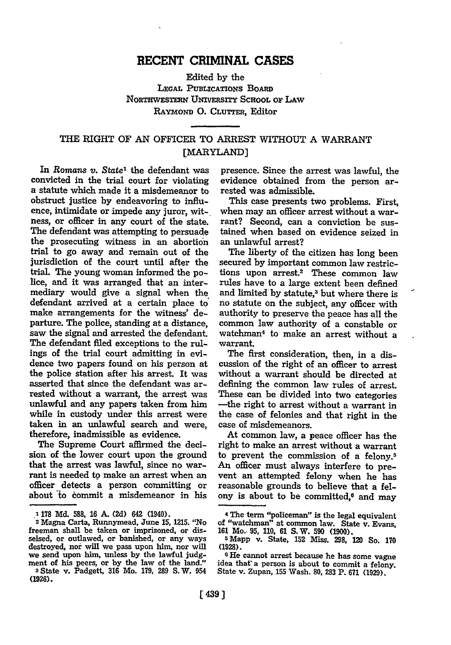### **RECENT CRIMINAL CASES**

Edited **by** the LEGAL PUBLICATIONS BOARD **NoRTHwESTERN** UNIvERsrrY ScHooL **oF LAw** RAYMOND **0. CLUTTER,** Editor

### THE RIGHT OF **AN** OFFICER TO ARREST WITHOUT **A** WARRANT [MARYLAND]

In Romans *v. State'* the defendant was convicted in the trial court for violating a statute which made it a misdemeanor to obstruct justice **by** endeavoring to influence, intimidate or impede any juror, witness, or officer in any court of the state. The defendant was attempting to persuade the prosecuting witness in an abortion trial to go away and remain out of the jurisdiction of the court until after the trial. The young woman informed the police, and it was arranged that an intermediary would give a signal when the defendant arrived at a certain place to\* make arrangements for the witness' departure. The police, standing at a distance, saw the signal and arrested the defendant. The defendant filed exceptions to the rulings of the trial court admitting in evidence two papers found on his person at the police station after his arrest. It was asserted that since the defendant was arrested without a warrant, the arrest was unlawful and any papers taken from him while in custody under this arrest were taken in an unlawful search and were, therefore, inadmissible as evidence.

The Supreme Court affirmed the decision of the lower court upon the ground that the arrest was lawful, since no warrant is needed to make an arrest when an officer detects a person committing or about **"o** commit a misdemeanor in his

presence. Since the arrest was lawful, the evidence obtained from the person arrested was admissible.

This case presents two problems. First, when may an officer arrest without a warrant? Second, can a conviction be sustained when based on evidence seized in an unlawful arrest?

The liberty of the citizen has long been secured **by** important common law restrictions upon arrest.2 These common law rules have to a large extent been defined and limited by statute,<sup>3</sup> but where there is no statute on the subject, any officer with authority to preserve the peace has all the common law authority of a constable or watchman<sup>4</sup> to make an arrest without a warrant.

The first consideration, then, in a discussion of the right of an officer to arrest without a warrant should be directed at defining the common **law** rules of arrest. These can be divided into two categories -the right to arrest without a warrant in the case of felonies and that right in the case of misdemeanors.

At common law, a peace officer has the right to make an arrest without a warrant to prevent the commission of a felony.<sup>5</sup> An officer must always interfere to prevent an attempted felony when he has reasonable grounds to believe that a felony is about to be committed,<sup>6</sup> and may

**<sup>.</sup> 178 Md. 588, 16 A. (2d)** 642 (1940). **<sup>2</sup>**Magna Carta, Runnymead, June **15, 1215.** "No freeman shall be taken or imprisoned, or disseised, or outlawed, or banished, or any ways destroyed, nor will we pass upon him, nor will we send upon him, unless **by** the lawful judgment of his peers, or **by** the law of the land." **<sup>s</sup>**State v. Padgett, **316** Mo. **179, 289 S.W.** <sup>954</sup>

**<sup>(1926).</sup>**

<sup>4</sup>**The** term "policeman" is the legal equivalent **of** "watchman" at common law. **State** v. Evans,

**<sup>161</sup>**Mo. **95, 110, 61 S.W. 590 (1900). .** Mapp v. State, 152 liss. **298,** 120 So. **<sup>170</sup> (1928).**

**<sup>8</sup> He** cannot arrest because he has some vagne idea that a person is about to commit a felony. State v. Zupan, **155** Wash. **80, 283** P. **671 (1929).**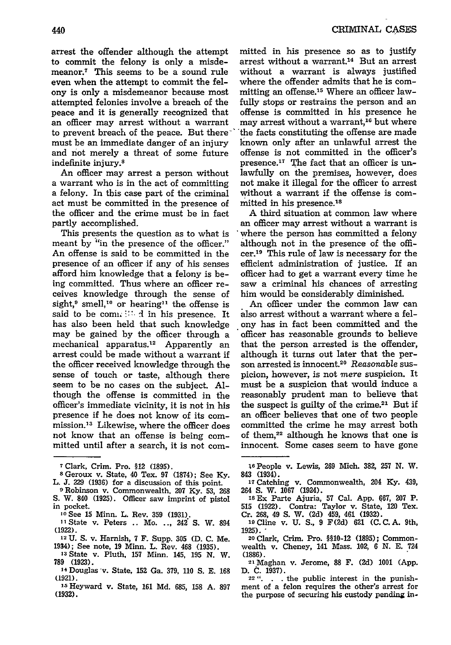arrest the offender although the attempt to commit the felony is only a misdemeanor.7 This seems to be a sound rule even when the attempt to commit the felony is only a misdemeanor because most attempted felonies involve a breach of the peace and it is generally recognized that an officer may arrest without a warrant to prevent breach of the peace. But theremust be an immediate danger of an injury and not merely a threat of some future indefinite injury.8

An officer may arrest a person without **a** warrant who is in the act of committing **a** felony. In this case part of the criminal act must be committed in the presence of the officer and the crime must be in fact partly accomplished.

This presents the question as to what is meant by "in the presence of the officer." An offense is said to be committed in the presence of an officer if any of his senses afford him knowledge that a felony is being committed. Thus where an officer receives knowledge through the sense of sight,<sup>9</sup> smell,<sup>10</sup> or hearing<sup>11</sup> the offense is said to be committed in his presence. It has also been held that such knowledge may be gained by the officer through a mechanical apparatus.<sup>12</sup> Apparently an arrest could be made without a warrant if the officer received knowledge through the sense of touch or taste, although there seem to be no cases on the subject. Although the offense is committed in the officer's immediate vicinity, it is not in his presence if he does not know of its commission.<sup>13</sup> Likewise, where the officer does not know that an offense is being committed until after a search, it is not com-

- **8** Geroux v. State, 40 Tex. **97 (1874);** See **Ky.** L. **J. 229 (1936)** for a discussion of this point. **<sup>0</sup>**Robinson v. Commonwealth, **207 Ky. 53, 268**
- S. W. 840 **(1925).** Officer saw imprint of pistol in pocket.
	- '( See **15** Minn. L. Rev. **359 (1931).**
- **1** State v. Peters .. Mo. **.. ,** 242 **S.** W. 894 **(1922). 12 U.** S. v. Harnish, **7** F. Supp. **305 (D.** C. Me.
- 1934); See note, **19** Minn. L. Rev. 468 **(1935).**
- **<sup>13</sup>**State v. Pluth, **157** Minn. 145, **195 N.** W. **789 (1923).** 14 Douglas v. State, **152** Ga. **379, 110 S. E. 168**
- **(1921).**
- **'-** Heyward v. State, **161 Md. 685, 158 A. 897 (1932).**

mitted in his presence so as to justify arrest without a warrant.14 But an arrest without a warrant is always justified where the offender admits that he is committing an offense.<sup>15</sup> Where an officer lawfully stops or restrains the person and an offense is committed in his presence he may arrest without a warrant,<sup>16</sup> but where "the facts constituting the offense are made known only after an unlawful arrest the offense is not committed in the officer's presence. $17$  The fact that an officer is unlawfully on the premises, however, does not make it illegal for the officer to arrest without a warrant if the offense is committed in his presence.<sup>18</sup>

A third situation at common law where an officer may arrest without a warrant is where the person has committed a felony although not in the presence of the officer.<sup>19</sup> This rule of law is necessary for the efficient administration of justice. If an officer had to get a warrant every time he saw a criminal his chances of arresting him would be considerably diminished.

An officer under the common law can also arrest without a warrant where a felony has in fact been committed and the officer has reasonable grounds to believe that the person arrested is the offender, although it turns out later that the person arrested is innocent.20 *Reasonable* suspicion, however, is not *mere* suspicion. It must be a suspicion that would induce a reasonably prudent man to believe that the suspect is guilty of the crime.<sup>21</sup> But i an officer believes that one of two people committed the crime he may arrest both of them,<sup>22</sup> although he knows that one is innocent. Some cases seem to have gone

**<sup>17</sup>**Catching v. Commonwealth, 204 **Ky.** 439, <sup>264</sup>*S. W.* **1067** (1924). **is** Ex Parte Ajuria, **57** Cal. **App. 667, 207** P.

**515 (1922).** Contra: Taylor v. State, 120 Tex. Cr. **268,** 49 **S.** W. **(2d)** 459, 461 (1932). 19Cline v. **U. S., 9 F(2d) 621** (C.C.A. 9th,

- **1925)."**
- **20** Clark, Crim. Pro. §10-12 **(1895);** Commonwealth v. Cheney, 141 Mass. **10Z 6 N. E.** <sup>724</sup> **(1886).** 2lMaghan v. Jerome, **88** F. **(2d) 1001 (App.**

**D. C. 1937). <sup>22</sup>". . .** the public interest in the punishment of a felon requires the other's arrest for the purpose of securing his custody pending in-

**<sup>7</sup>**Clark, Crim. Pro. §12 **(1895).**

Is People v. Lewis, **269** Mich. **382,** 257 **N.** W. 843 (1934).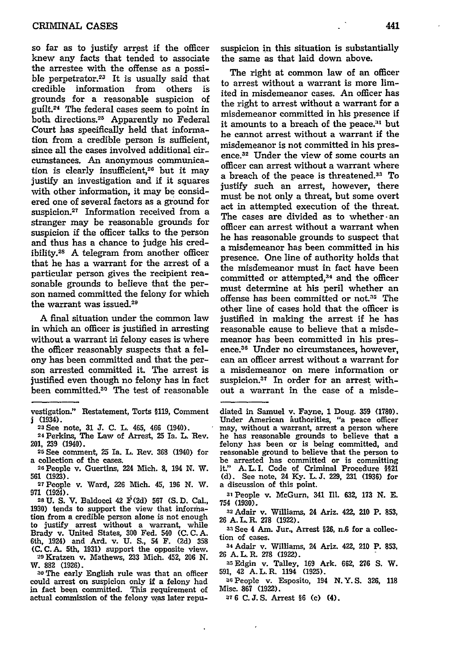so far as to justify arrest if the officer knew any facts that tended to associate the arrestee with the offense as a possible perpetrator.<sup>23</sup> It is usually said that credible information from others is grounds for a reasonable suspicion of guilt.24 The federal cases seem to point in both directions.<sup>25</sup> Apparently no Federal Court has specifically held that information from a credible person is sufficient, since all the cases involved additional circumstances. An anonymous communication is clearly insufficient,<sup>26</sup> but it may justify an investigation and if it squares with other information, it may be considered one of several factors as a ground for suspicion.27 Information received from a stranger may be reasonable grounds for suspicion if the officer talks to the person and thus has a chance to judge his credibility.28 A telegram from another officer that he has a warrant for the arrest of a particular person gives the recipient reasonable grounds to believe that the person named committed the felony for which the warrant was issued.<sup>29</sup>

A final situation under the common law in which an officer is justified in arresting without a warrant **ii** felony cases is where the officer reasonably suspects that a felony has been committed and that the person arrested committed it. The arrest is justified even though no felony has in fact been committed.<sup>30</sup> The test of reasonable

- a collection of the cases.
- **<sup>26</sup>**People v. Guertins, 224 Mich. **8,** 194 **N.** W. **561 (1923).**

**<sup>27</sup>**People v. Ward, **226** Mich. 45, **196 N.** W. **971** (1924).

**28U. S.** V. Baldocci 42 F **(2d) 567 (S.D.** Cal., **1930)** tends to support the view that information from a credible person alone is not enough to justify arrest without a warrant, while Brady v. United States, **300** Fed. 540 **(C. C. A.** 6th, 1924) and Ard. v. **U. S.,** 54 F. **(2d) 358 (C.** C.A. 5th, **1931)** support the opposite view.

**"** Kratzen v. Mathews, **233** Mich. 452, **206 N. W. 882 (1926).**

**<sup>30</sup>**The early English rule was that an officer could arrest on suspicion only if a felony had in fact been committed. This requirement of actual commission of the felony was later repususpicion in this situation is substantially the same as that laid down above.

The right at common law of an officer to arrest without a warrant is more limited in misdemeanor cases. An officer has the right to arrest without a warrant for a misdemeanor committed in his presence if it amounts to a breach of the peace.<sup>31</sup> but he cannot arrest without a warrant if the misdemeanor is not committed in his presence.<sup>32</sup> Under the view of some courts an officer can arrest without a warrant where a breach of the peace is threatened.<sup>33</sup> To justify such an arrest, however, there must be not only a threat, but some overt act in attempted execution of the threat. The cases are divided as to whether an officer can arrest without a warrant when he has reasonable grounds to suspect that a misdemeanor has been committed in his presence. One line of authority holds that the misdemeanor must in fact have been committed or attempted, $34$  and the officer must determine at his peril whether an offense has been committed or not.<sup>35</sup> The other line of cases hold that the officer is justified in making the arrest if he has reasonable cause to believe that a misdemeanor has been committed in his presence.38 Under no circumstances, however, can an officer arrest without a warrant for a misdemeanor on mere information or suspicion.37 In order for an arrest without a warrant in the case of a misde-

diated in Samuel v. Fayne, **1** Doug. **359 (1780).** Under American &uthorities, "a peace officer may, without a warrant, arrest a person where he has reasonable grounds to believe that a felony has been or is being committed, and reasonable ground to believe that the person to be arrested has committed or is committing it." **A.L.I.** Code of Criminal Procedure §21 **(d).** See note, 24 **Ky.** L. **J. 229,** 231 **(1936)** for a discussion of this point.

**<sup>2</sup>**Adair v. Williams, 24 Ariz. **422,** 210 P. **853, 26 A. L.** R. **278 (1922).**

**33** See 4 **Am.** Jur., Arrest §26, n.6 for a collection of cases.

**<sup>34</sup>**Adair v. Williams, 24 Ariz. 422, 210 P. **853,** 26 A. L. R. **278 (1922). :15** Edgin v. Talley, **169** Ark. **662, 276 S.** W.

**591,**  $\overline{42}$  **A. L. R. 1194 (1925).**<br><sup>36</sup> People v. Esposito, 194 N. Y. S. 326, 118

Misc. **867 (1922). 37 6 C. J. S.** Arrest **§6 (c)** (4).

vestigation." Restatement, Torts **§119,** Comment **j** (1934).

**<sup>23</sup>**See note, **31 J. C.** L. 465, 466 (1940).

<sup>24</sup> Perkins, The Law of Arrest, 25 Ia. L. Rev. 201, **239** (1940). 25 See comment, 25 Ia. L. Rev. **368** (1940) for

**<sup>3&#</sup>x27;** People v. McGurn, 341 Ill. **632, 173 N. E.** 754 **(1930).**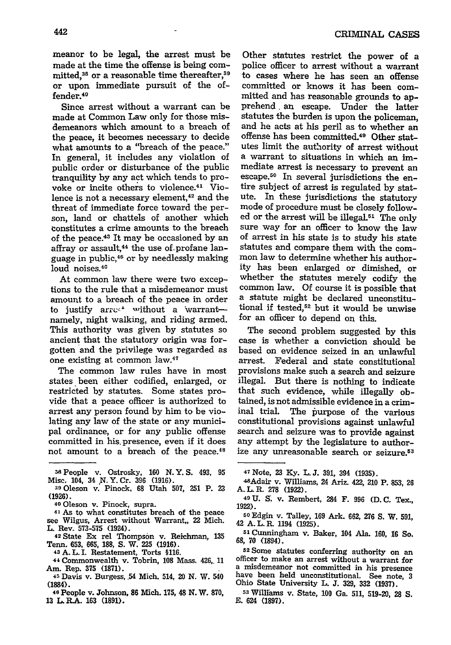meanor to be legal, the arrest must be made at the time the offense is being committed,<sup>38</sup> or a reasonable time thereafter,<sup>39</sup> or upon immediate pursuit of the offender.<sup>40</sup>

Since arrest without a warrant can be made at Common Law only for those misdemeanors which amount to a breach of the peace, it becomes necessary to decide what amounts to a "breach of the peace." In general, it includes any violation of public order or disturbance of the public tranquility by any act which tends to provoke or incite others to violence.41 Violence is not a necessary element.<sup>42</sup> and the threat of immediate force toward the person, land or chattels of another which constitutes a crime amounts to the breach of the peace.<sup>43</sup> It may be occasioned by an affray or assault,<sup>44</sup> the use of profane language in public,<sup>45</sup> or by needlessly making loud noises.<sup>46</sup>

At common law there were two exceptions to the rule that a misdemeanor must amount to a breach of the peace in order to justify arrest without a warrantnamely, night walking, and riding armed. This authority was given by statutes so ancient that the statutory origin was forgotten and the privilege was regarded as one existing at common law.<sup>47</sup>

The common law rules have in most states been either codified, enlarged, or restricted by statutes. Some states provide that a peace officer is authorized to arrest any person found by him to be violating any law of the state or any municipal ordinance, or for any public offense committed in his presence, even if it does not amount to a breach of the peace.<sup>48</sup>

**L.** Rev. **573-575** (1924). 42 State Ex rel Thompson v. Reichman, **<sup>135</sup>** Tenn. **653, 665, 188, S.** W. **225 (1916).**

- **<sup>43</sup>**A. L. I. Restatement, Torts **§116.**
- **<sup>44</sup>**Commonwealth v. Tobrin, **108** Mass. 426,. **11** Am. Rep. **375 (1871).**
- **4r5** Davis v. Burgess, .54 Mich. 514, 20 **N.** W. 540 (1884).
- **<sup>46</sup>**People v. Johnson, **86** Mich. **175,** 48 **N.** W. **870, 13** L.R.A. **163 (1891).**

Other statutes restrict the power of a police officer to arrest without a warrant to cases where he has seen an offense committed or knows it has been committed and has reasonable grounds to apprehend, an escape. Under the latter statutes the burden is upon the policeman, and he acts at his peril as to whether an offense has been committed.49 Other statutes limit the authority of arrest without a warrant to situations in which an immediate arrest is necessary to prevent an escape.<sup>50</sup> In several jurisdictions the entire subject of arrest is regulated by statute. In these jurisdictions the statutory mode of procedure must be closely followed or the arrest will be illegal.<sup>51</sup> The only sure way for an officer to know the law of arrest in his state is to study his state statutes and compare them with the common law to determine whether his authority has been enlarged or dimished, or whether the statutes merely codify the common law. Of course it is possible that a statute might be declared unconstitutional if tested,52 but it would be unwise for an officer to depend on this.

The second problem suggested by this case is whether a conviction should be based on evidence seized in an unlawful arrest. Federal and state constitutional provisions make such a search and seizure illegal. But there is nothing to indicate that such evidence, while illegally obtained, is not admissible evidence in a criminal trial. The purpose of the various constitutional provisions against unlawful search and seizure was to provide against any attempt by the legislature to authorize any unreasonable search or seizure.<sup>53</sup>

- 47 Note, **23 Ky. L.J. 391,** 394 **(1935).** 4SAdair v. Williams, 24 Ariz. 422, 210 P. **853, 26** A. **L** R. **278** (1922).
- **<sup>49</sup>**U. S. v. Rembert, 284 F. **996** (D. **C.** Tex., 1922).
- **<sup>50</sup>**Edgin v. Talley, **169** Ark. **662, 276 S.** W. 591, 42 A.L.R. 1194 (1925).
- **<sup>51</sup>**Cunningham v. Baker, 104 Ala. 160, **16** So. **68, 70** (1894).

**<sup>52</sup>**Some statutes conferring authority on an officer to make an arrest without a warrant for a misdemeanor not committed in his presence have been held unconstitutional. See note, **<sup>3</sup>** Ohio State University L. **J. 329, 332 (1937).**

**<sup>53</sup>**Williams v. State, **100** Ga. **511, 519-20, 28 S. E.** 624 **(1897).**

**<sup>25</sup>**People v. Ostrosky, **160 N.Y.S.** 493, **95**

Misc. 104, 34 \*N.Y. Cr. **396 (1916).** s90leson v. Pinock. **68** Utah 507, **251** P. **<sup>23</sup> (1926).**

**<sup>40</sup>**Oleson v. Pinock, supra.

**<sup>41</sup>**As to what constitutes breach of the peace see Wilgus, Arrest without Warrant,, 22 Mich.